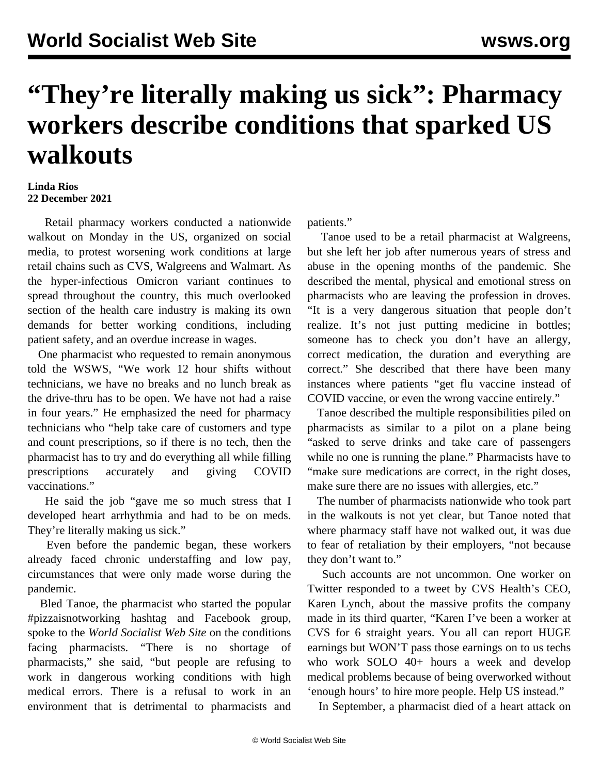## **"They're literally making us sick": Pharmacy workers describe conditions that sparked US walkouts**

## **Linda Rios 22 December 2021**

 Retail pharmacy workers conducted a nationwide walkout on Monday in the US, organized on social media, to protest worsening work conditions at large retail chains such as CVS, Walgreens and Walmart. As the hyper-infectious Omicron variant continues to spread throughout the country, this much overlooked section of the health care industry is making its own demands for better working conditions, including patient safety, and an overdue increase in wages.

 One pharmacist who requested to remain anonymous told the WSWS, "We work 12 hour shifts without technicians, we have no breaks and no lunch break as the drive-thru has to be open. We have not had a raise in four years." He emphasized the need for pharmacy technicians who "help take care of customers and type and count prescriptions, so if there is no tech, then the pharmacist has to try and do everything all while filling prescriptions accurately and giving COVID vaccinations."

 He said the job "gave me so much stress that I developed heart arrhythmia and had to be on meds. They're literally making us sick."

 Even before the pandemic began, these workers already faced chronic understaffing and low pay, circumstances that were only made worse during the pandemic.

 Bled Tanoe, the pharmacist who started the popular #pizzaisnotworking hashtag and Facebook group, spoke to the *World Socialist Web Site* on the conditions facing pharmacists. "There is no shortage of pharmacists," she said, "but people are refusing to work in dangerous working conditions with high medical errors. There is a refusal to work in an environment that is detrimental to pharmacists and patients."

 Tanoe used to be a retail pharmacist at Walgreens, but she left her job after numerous years of stress and abuse in the opening months of the pandemic. She described the mental, physical and emotional stress on pharmacists who are leaving the profession in droves. "It is a very dangerous situation that people don't realize. It's not just putting medicine in bottles; someone has to check you don't have an allergy, correct medication, the duration and everything are correct." She described that there have been many instances where patients "get flu vaccine instead of COVID vaccine, or even the wrong vaccine entirely."

 Tanoe described the multiple responsibilities piled on pharmacists as similar to a pilot on a plane being "asked to serve drinks and take care of passengers while no one is running the plane." Pharmacists have to "make sure medications are correct, in the right doses, make sure there are no issues with allergies, etc."

 The number of pharmacists nationwide who took part in the walkouts is not yet clear, but Tanoe noted that where pharmacy staff have not walked out, it was due to fear of retaliation by their employers, "not because they don't want to."

 Such accounts are not uncommon. One worker on Twitter responded to a tweet by CVS Health's CEO, Karen Lynch, about the massive profits the company made in its third quarter, "Karen I've been a worker at CVS for 6 straight years. You all can report HUGE earnings but WON'T pass those earnings on to us techs who work SOLO 40+ hours a week and develop medical problems because of being overworked without 'enough hours' to hire more people. Help US instead."

In September, a pharmacist died of a heart attack on